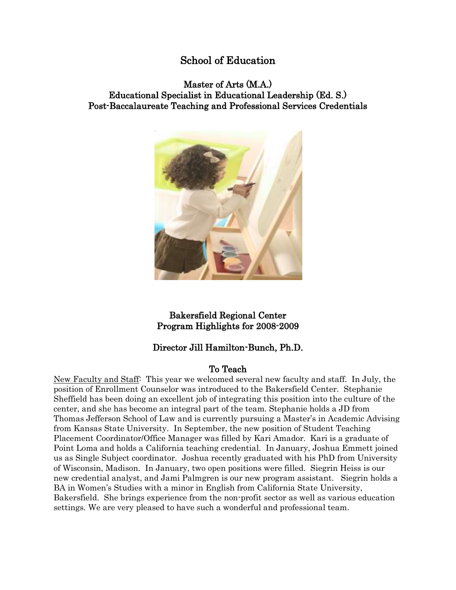# School of Education

# Master of Arts (M.A.) Educational Specialist in Educational Leadership (Ed. S.) Post-Baccalaureate Teaching and Professional Services Credentials



# Bakersfield Regional Center Program Highlights for 2008-2009

# Director Jill Hamilton-Bunch, Ph.D.

# To Teach

New Faculty and Staff: This year we welcomed several new faculty and staff. In July, the position of Enrollment Counselor was introduced to the Bakersfield Center. Stephanie Sheffield has been doing an excellent job of integrating this position into the culture of the center, and she has become an integral part of the team. Stephanie holds a JD from Thomas Jefferson School of Law and is currently pursuing a Master's in Academic Advising from Kansas State University. In September, the new position of Student Teaching Placement Coordinator/Office Manager was filled by Kari Amador. Kari is a graduate of Point Loma and holds a California teaching credential. In January, Joshua Emmett joined us as Single Subject coordinator. Joshua recently graduated with his PhD from University of Wisconsin, Madison. In January, two open positions were filled. Siegrin Heiss is our new credential analyst, and Jami Palmgren is our new program assistant. Siegrin holds a BA in Women's Studies with a minor in English from California State University, Bakersfield. She brings experience from the non-profit sector as well as various education settings. We are very pleased to have such a wonderful and professional team.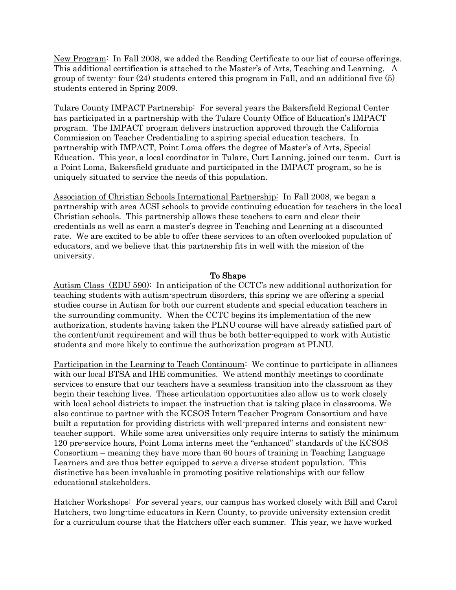New Program: In Fall 2008, we added the Reading Certificate to our list of course offerings. This additional certification is attached to the Master's of Arts, Teaching and Learning. A group of twenty- four (24) students entered this program in Fall, and an additional five (5) students entered in Spring 2009.

Tulare County IMPACT Partnership: For several years the Bakersfield Regional Center has participated in a partnership with the Tulare County Office of Education's IMPACT program. The IMPACT program delivers instruction approved through the California Commission on Teacher Credentialing to aspiring special education teachers. In partnership with IMPACT, Point Loma offers the degree of Master's of Arts, Special Education. This year, a local coordinator in Tulare, Curt Lanning, joined our team. Curt is a Point Loma, Bakersfield graduate and participated in the IMPACT program, so he is uniquely situated to service the needs of this population.

Association of Christian Schools International Partnership: In Fall 2008, we began a partnership with area ACSI schools to provide continuing education for teachers in the local Christian schools. This partnership allows these teachers to earn and clear their credentials as well as earn a master's degree in Teaching and Learning at a discounted rate. We are excited to be able to offer these services to an often overlooked population of educators, and we believe that this partnership fits in well with the mission of the university.

## To Shape

Autism Class (EDU 590): In anticipation of the CCTC's new additional authorization for teaching students with autism-spectrum disorders, this spring we are offering a special studies course in Autism for both our current students and special education teachers in the surrounding community. When the CCTC begins its implementation of the new authorization, students having taken the PLNU course will have already satisfied part of the content/unit requirement and will thus be both better-equipped to work with Autistic students and more likely to continue the authorization program at PLNU.

Participation in the Learning to Teach Continuum: We continue to participate in alliances with our local BTSA and IHE communities. We attend monthly meetings to coordinate services to ensure that our teachers have a seamless transition into the classroom as they begin their teaching lives. These articulation opportunities also allow us to work closely with local school districts to impact the instruction that is taking place in classrooms. We also continue to partner with the KCSOS Intern Teacher Program Consortium and have built a reputation for providing districts with well-prepared interns and consistent newteacher support. While some area universities only require interns to satisfy the minimum 120 pre-service hours, Point Loma interns meet the "enhanced" standards of the KCSOS Consortium – meaning they have more than 60 hours of training in Teaching Language Learners and are thus better equipped to serve a diverse student population. This distinctive has been invaluable in promoting positive relationships with our fellow educational stakeholders.

Hatcher Workshops: For several years, our campus has worked closely with Bill and Carol Hatchers, two long-time educators in Kern County, to provide university extension credit for a curriculum course that the Hatchers offer each summer. This year, we have worked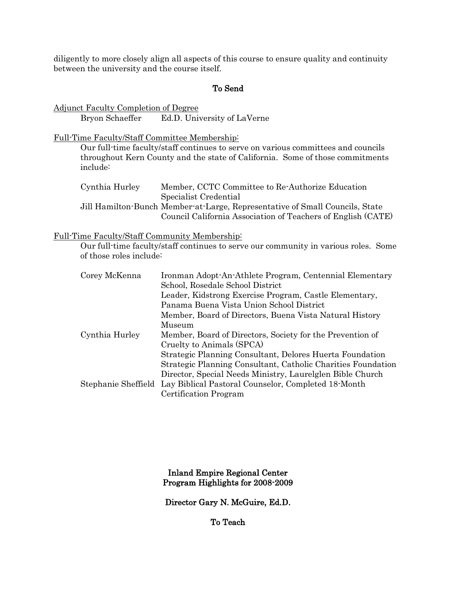diligently to more closely align all aspects of this course to ensure quality and continuity between the university and the course itself.

## To Send

Adjunct Faculty Completion of Degree Bryon Schaeffer Ed.D. University of LaVerne

Full-Time Faculty/Staff Committee Membership:

Our full-time faculty/staff continues to serve on various committees and councils throughout Kern County and the state of California. Some of those commitments include:

| Cynthia Hurley | Member, CCTC Committee to Re-Authorize Education                             |
|----------------|------------------------------------------------------------------------------|
|                | Specialist Credential                                                        |
|                | Jill Hamilton-Bunch Member-at-Large, Representative of Small Councils, State |
|                | Council California Association of Teachers of English (CATE)                 |

#### Full-Time Faculty/Staff Community Membership:

Our full-time faculty/staff continues to serve our community in various roles. Some of those roles include:

| Corey McKenna       | Ironman Adopt-An-Athlete Program, Centennial Elementary<br>School, Rosedale School District |
|---------------------|---------------------------------------------------------------------------------------------|
|                     | Leader, Kidstrong Exercise Program, Castle Elementary,                                      |
|                     | Panama Buena Vista Union School District                                                    |
|                     | Member, Board of Directors, Buena Vista Natural History                                     |
|                     | Museum                                                                                      |
| Cynthia Hurley      | Member, Board of Directors, Society for the Prevention of                                   |
|                     | Cruelty to Animals (SPCA)                                                                   |
|                     | Strategic Planning Consultant, Delores Huerta Foundation                                    |
|                     | Strategic Planning Consultant, Catholic Charities Foundation                                |
|                     | Director, Special Needs Ministry, Laurelglen Bible Church                                   |
| Stephanie Sheffield | Lay Biblical Pastoral Counselor, Completed 18-Month                                         |
|                     | Certification Program                                                                       |

### Inland Empire Regional Center Program Highlights for 2008-2009

Director Gary N. McGuire, Ed.D.

To Teach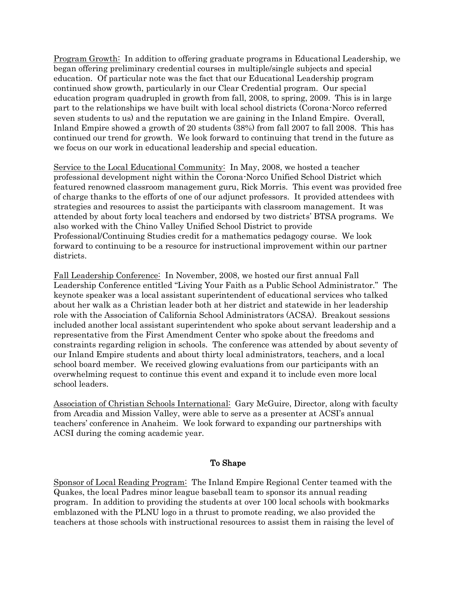Program Growth: In addition to offering graduate programs in Educational Leadership, we began offering preliminary credential courses in multiple/single subjects and special education. Of particular note was the fact that our Educational Leadership program continued show growth, particularly in our Clear Credential program. Our special education program quadrupled in growth from fall, 2008, to spring, 2009. This is in large part to the relationships we have built with local school districts (Corona-Norco referred seven students to us) and the reputation we are gaining in the Inland Empire. Overall, Inland Empire showed a growth of 20 students (38%) from fall 2007 to fall 2008. This has continued our trend for growth. We look forward to continuing that trend in the future as we focus on our work in educational leadership and special education.

Service to the Local Educational Community: In May, 2008, we hosted a teacher professional development night within the Corona-Norco Unified School District which featured renowned classroom management guru, Rick Morris. This event was provided free of charge thanks to the efforts of one of our adjunct professors. It provided attendees with strategies and resources to assist the participants with classroom management. It was attended by about forty local teachers and endorsed by two districts' BTSA programs. We also worked with the Chino Valley Unified School District to provide Professional/Continuing Studies credit for a mathematics pedagogy course. We look forward to continuing to be a resource for instructional improvement within our partner districts.

Fall Leadership Conference: In November, 2008, we hosted our first annual Fall Leadership Conference entitled "Living Your Faith as a Public School Administrator." The keynote speaker was a local assistant superintendent of educational services who talked about her walk as a Christian leader both at her district and statewide in her leadership role with the Association of California School Administrators (ACSA). Breakout sessions included another local assistant superintendent who spoke about servant leadership and a representative from the First Amendment Center who spoke about the freedoms and constraints regarding religion in schools. The conference was attended by about seventy of our Inland Empire students and about thirty local administrators, teachers, and a local school board member. We received glowing evaluations from our participants with an overwhelming request to continue this event and expand it to include even more local school leaders.

Association of Christian Schools International: Gary McGuire, Director, along with faculty from Arcadia and Mission Valley, were able to serve as a presenter at ACSI's annual teachers' conference in Anaheim. We look forward to expanding our partnerships with ACSI during the coming academic year.

## To Shape

Sponsor of Local Reading Program: The Inland Empire Regional Center teamed with the Quakes, the local Padres minor league baseball team to sponsor its annual reading program. In addition to providing the students at over 100 local schools with bookmarks emblazoned with the PLNU logo in a thrust to promote reading, we also provided the teachers at those schools with instructional resources to assist them in raising the level of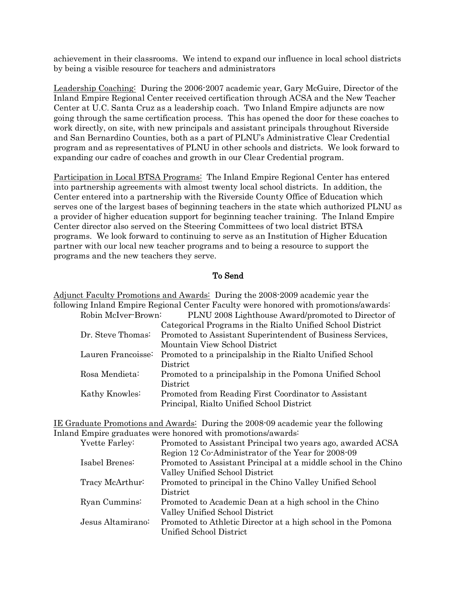achievement in their classrooms. We intend to expand our influence in local school districts by being a visible resource for teachers and administrators

Leadership Coaching: During the 2006-2007 academic year, Gary McGuire, Director of the Inland Empire Regional Center received certification through ACSA and the New Teacher Center at U.C. Santa Cruz as a leadership coach. Two Inland Empire adjuncts are now going through the same certification process. This has opened the door for these coaches to work directly, on site, with new principals and assistant principals throughout Riverside and San Bernardino Counties, both as a part of PLNU's Administrative Clear Credential program and as representatives of PLNU in other schools and districts. We look forward to expanding our cadre of coaches and growth in our Clear Credential program.

Participation in Local BTSA Programs: The Inland Empire Regional Center has entered into partnership agreements with almost twenty local school districts. In addition, the Center entered into a partnership with the Riverside County Office of Education which serves one of the largest bases of beginning teachers in the state which authorized PLNU as a provider of higher education support for beginning teacher training. The Inland Empire Center director also served on the Steering Committees of two local district BTSA programs. We look forward to continuing to serve as an Institution of Higher Education partner with our local new teacher programs and to being a resource to support the programs and the new teachers they serve.

# To Send

| Adjunct Faculty Promotions and Awards: During the 2008-2009 academic year the        |                                                            |  |  |  |
|--------------------------------------------------------------------------------------|------------------------------------------------------------|--|--|--|
| following Inland Empire Regional Center Faculty were honored with promotions/awards: |                                                            |  |  |  |
| Robin McIver-Brown:                                                                  | PLNU 2008 Lighthouse Award/promoted to Director of         |  |  |  |
|                                                                                      | Categorical Programs in the Rialto Unified School District |  |  |  |
| Dr. Steve Thomas:                                                                    | Promoted to Assistant Superintendent of Business Services, |  |  |  |
|                                                                                      | Mountain View School District                              |  |  |  |
| Lauren Francoisse:                                                                   | Promoted to a principalship in the Rialto Unified School   |  |  |  |
|                                                                                      | District                                                   |  |  |  |
| Rosa Mendieta:                                                                       | Promoted to a principalship in the Pomona Unified School   |  |  |  |
|                                                                                      | District                                                   |  |  |  |
| Kathy Knowles:                                                                       | Promoted from Reading First Coordinator to Assistant       |  |  |  |
|                                                                                      | Principal, Rialto Unified School District                  |  |  |  |
|                                                                                      |                                                            |  |  |  |

| IE Graduate Promotions and Awards: During the 2008-09 academic year the following |  |  |  |
|-----------------------------------------------------------------------------------|--|--|--|
| Inland Empire graduates were honored with promotions/awards:                      |  |  |  |

| Yvette Farley:    | Promoted to Assistant Principal two years ago, awarded ACSA     |
|-------------------|-----------------------------------------------------------------|
|                   | Region 12 Co-Administrator of the Year for 2008-09              |
| Isabel Brenes:    | Promoted to Assistant Principal at a middle school in the Chino |
|                   | Valley Unified School District                                  |
| Tracy McArthur:   | Promoted to principal in the Chino Valley Unified School        |
|                   | District                                                        |
| Ryan Cummins:     | Promoted to Academic Dean at a high school in the Chino         |
|                   | Valley Unified School District                                  |
| Jesus Altamirano: | Promoted to Athletic Director at a high school in the Pomona    |
|                   | Unified School District                                         |
|                   |                                                                 |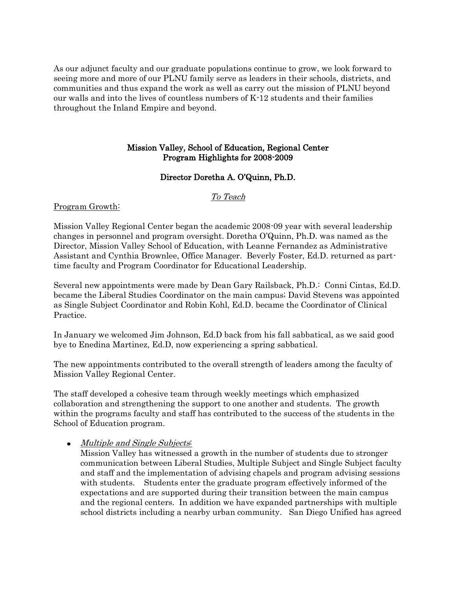As our adjunct faculty and our graduate populations continue to grow, we look forward to seeing more and more of our PLNU family serve as leaders in their schools, districts, and communities and thus expand the work as well as carry out the mission of PLNU beyond our walls and into the lives of countless numbers of K-12 students and their families throughout the Inland Empire and beyond.

# Mission Valley, School of Education, Regional Center Program Highlights for 2008-2009

# Director Doretha A. O'Quinn, Ph.D.

# To Teach

### Program Growth:

Mission Valley Regional Center began the academic 2008-09 year with several leadership changes in personnel and program oversight. Doretha O'Quinn, Ph.D. was named as the Director, Mission Valley School of Education, with Leanne Fernandez as Administrative Assistant and Cynthia Brownlee, Office Manager. Beverly Foster, Ed.D. returned as parttime faculty and Program Coordinator for Educational Leadership.

Several new appointments were made by Dean Gary Railsback, Ph.D.: Conni Cintas, Ed.D. became the Liberal Studies Coordinator on the main campus; David Stevens was appointed as Single Subject Coordinator and Robin Kohl, Ed.D. became the Coordinator of Clinical Practice.

In January we welcomed Jim Johnson, Ed.D back from his fall sabbatical, as we said good bye to Enedina Martinez, Ed.D, now experiencing a spring sabbatical.

The new appointments contributed to the overall strength of leaders among the faculty of Mission Valley Regional Center.

The staff developed a cohesive team through weekly meetings which emphasized collaboration and strengthening the support to one another and students. The growth within the programs faculty and staff has contributed to the success of the students in the School of Education program.

## • Multiple and Single Subjects:

Mission Valley has witnessed a growth in the number of students due to stronger communication between Liberal Studies, Multiple Subject and Single Subject faculty and staff and the implementation of advising chapels and program advising sessions with students. Students enter the graduate program effectively informed of the expectations and are supported during their transition between the main campus and the regional centers. In addition we have expanded partnerships with multiple school districts including a nearby urban community. San Diego Unified has agreed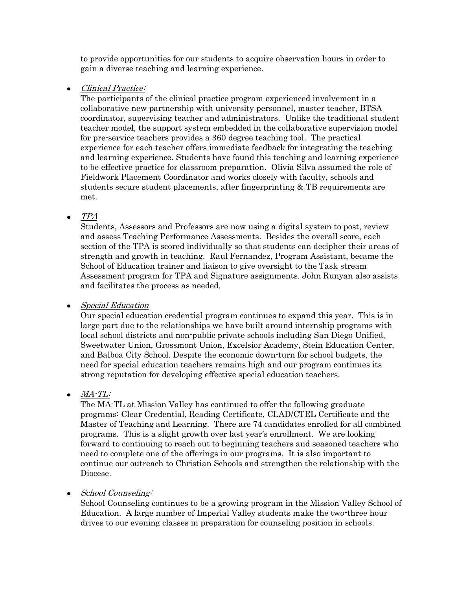to provide opportunities for our students to acquire observation hours in order to gain a diverse teaching and learning experience.

Clinical Practice:  $\bullet$ 

> The participants of the clinical practice program experienced involvement in a collaborative new partnership with university personnel, master teacher, BTSA coordinator, supervising teacher and administrators. Unlike the traditional student teacher model, the support system embedded in the collaborative supervision model for pre-service teachers provides a 360 degree teaching tool. The practical experience for each teacher offers immediate feedback for integrating the teaching and learning experience. Students have found this teaching and learning experience to be effective practice for classroom preparation. Olivia Silva assumed the role of Fieldwork Placement Coordinator and works closely with faculty, schools and students secure student placements, after fingerprinting & TB requirements are met.

TPA  $\bullet$ 

> Students, Assessors and Professors are now using a digital system to post, review and assess Teaching Performance Assessments. Besides the overall score, each section of the TPA is scored individually so that students can decipher their areas of strength and growth in teaching. Raul Fernandez, Program Assistant, became the School of Education trainer and liaison to give oversight to the Task stream Assessment program for TPA and Signature assignments. John Runyan also assists and facilitates the process as needed.

• Special Education

Our special education credential program continues to expand this year. This is in large part due to the relationships we have built around internship programs with local school districts and non-public private schools including San Diego Unified, Sweetwater Union, Grossmont Union, Excelsior Academy, Stein Education Center, and Balboa City School. Despite the economic down-turn for school budgets, the need for special education teachers remains high and our program continues its strong reputation for developing effective special education teachers.

# $\bullet$   $MA$ - $TL$ :

The MA-TL at Mission Valley has continued to offer the following graduate programs: Clear Credential, Reading Certificate, CLAD/CTEL Certificate and the Master of Teaching and Learning. There are 74 candidates enrolled for all combined programs. This is a slight growth over last year's enrollment. We are looking forward to continuing to reach out to beginning teachers and seasoned teachers who need to complete one of the offerings in our programs. It is also important to continue our outreach to Christian Schools and strengthen the relationship with the Diocese.

# • School Counseling:

School Counseling continues to be a growing program in the Mission Valley School of Education. A large number of Imperial Valley students make the two-three hour drives to our evening classes in preparation for counseling position in schools.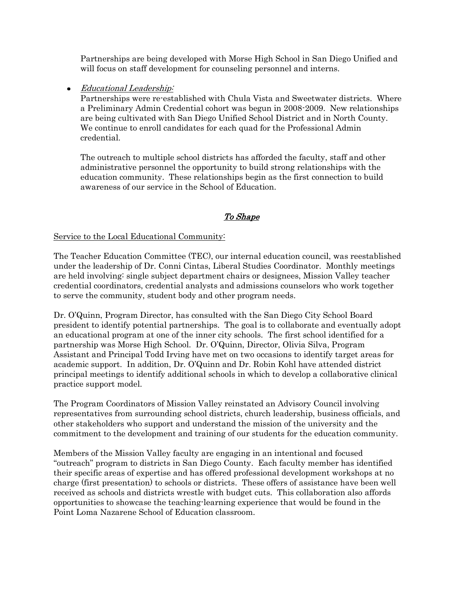Partnerships are being developed with Morse High School in San Diego Unified and will focus on staff development for counseling personnel and interns.

Educational Leadership:  $\bullet$ 

> Partnerships were re-established with Chula Vista and Sweetwater districts. Where a Preliminary Admin Credential cohort was begun in 2008-2009. New relationships are being cultivated with San Diego Unified School District and in North County. We continue to enroll candidates for each quad for the Professional Admin credential.

The outreach to multiple school districts has afforded the faculty, staff and other administrative personnel the opportunity to build strong relationships with the education community. These relationships begin as the first connection to build awareness of our service in the School of Education.

# To Shape

### Service to the Local Educational Community:

The Teacher Education Committee (TEC), our internal education council, was reestablished under the leadership of Dr. Conni Cintas, Liberal Studies Coordinator. Monthly meetings are held involving: single subject department chairs or designees, Mission Valley teacher credential coordinators, credential analysts and admissions counselors who work together to serve the community, student body and other program needs.

Dr. O'Quinn, Program Director, has consulted with the San Diego City School Board president to identify potential partnerships. The goal is to collaborate and eventually adopt an educational program at one of the inner city schools. The first school identified for a partnership was Morse High School. Dr. O'Quinn, Director, Olivia Silva, Program Assistant and Principal Todd Irving have met on two occasions to identify target areas for academic support. In addition, Dr. O'Quinn and Dr. Robin Kohl have attended district principal meetings to identify additional schools in which to develop a collaborative clinical practice support model.

The Program Coordinators of Mission Valley reinstated an Advisory Council involving representatives from surrounding school districts, church leadership, business officials, and other stakeholders who support and understand the mission of the university and the commitment to the development and training of our students for the education community.

Members of the Mission Valley faculty are engaging in an intentional and focused "outreach" program to districts in San Diego County. Each faculty member has identified their specific areas of expertise and has offered professional development workshops at no charge (first presentation) to schools or districts. These offers of assistance have been well received as schools and districts wrestle with budget cuts. This collaboration also affords opportunities to showcase the teaching-learning experience that would be found in the Point Loma Nazarene School of Education classroom.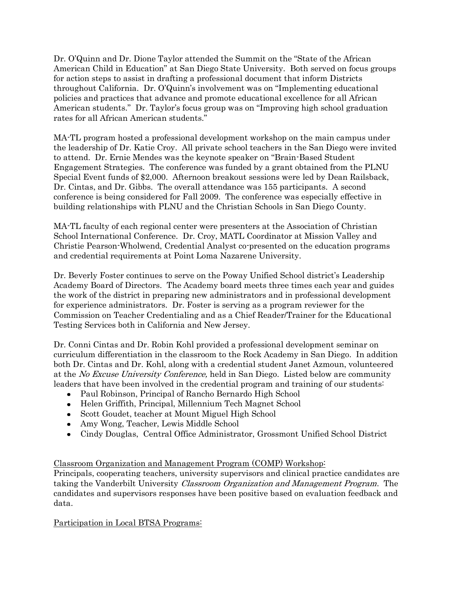Dr. O'Quinn and Dr. Dione Taylor attended the Summit on the "State of the African American Child in Education" at San Diego State University. Both served on focus groups for action steps to assist in drafting a professional document that inform Districts throughout California. Dr. O'Quinn's involvement was on "Implementing educational policies and practices that advance and promote educational excellence for all African American students." Dr. Taylor's focus group was on "Improving high school graduation rates for all African American students."

MA-TL program hosted a professional development workshop on the main campus under the leadership of Dr. Katie Croy. All private school teachers in the San Diego were invited to attend. Dr. Ernie Mendes was the keynote speaker on "Brain-Based Student Engagement Strategies. The conference was funded by a grant obtained from the PLNU Special Event funds of \$2,000. Afternoon breakout sessions were led by Dean Railsback, Dr. Cintas, and Dr. Gibbs. The overall attendance was 155 participants. A second conference is being considered for Fall 2009. The conference was especially effective in building relationships with PLNU and the Christian Schools in San Diego County.

MA-TL faculty of each regional center were presenters at the Association of Christian School International Conference. Dr. Croy, MATL Coordinator at Mission Valley and Christie Pearson-Wholwend, Credential Analyst co-presented on the education programs and credential requirements at Point Loma Nazarene University.

Dr. Beverly Foster continues to serve on the Poway Unified School district's Leadership Academy Board of Directors. The Academy board meets three times each year and guides the work of the district in preparing new administrators and in professional development for experience administrators. Dr. Foster is serving as a program reviewer for the Commission on Teacher Credentialing and as a Chief Reader/Trainer for the Educational Testing Services both in California and New Jersey.

Dr. Conni Cintas and Dr. Robin Kohl provided a professional development seminar on curriculum differentiation in the classroom to the Rock Academy in San Diego. In addition both Dr. Cintas and Dr. Kohl, along with a credential student Janet Azmoun, volunteered at the No Excuse University Conference, held in San Diego. Listed below are community leaders that have been involved in the credential program and training of our students:

- Paul Robinson, Principal of Rancho Bernardo High School
- Helen Griffith, Principal, Millennium Tech Magnet School
- Scott Goudet, teacher at Mount Miguel High School
- Amy Wong, Teacher, Lewis Middle School
- Cindy Douglas, Central Office Administrator, Grossmont Unified School District

## Classroom Organization and Management Program (COMP) Workshop:

Principals, cooperating teachers, university supervisors and clinical practice candidates are taking the Vanderbilt University Classroom Organization and Management Program. The candidates and supervisors responses have been positive based on evaluation feedback and data.

## Participation in Local BTSA Programs: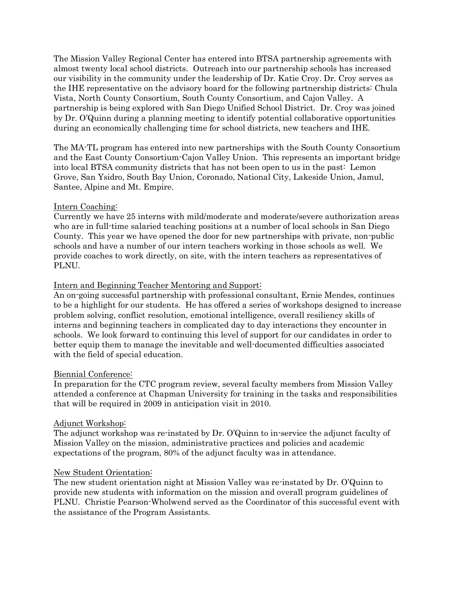The Mission Valley Regional Center has entered into BTSA partnership agreements with almost twenty local school districts. Outreach into our partnership schools has increased our visibility in the community under the leadership of Dr. Katie Croy. Dr. Croy serves as the IHE representative on the advisory board for the following partnership districts: Chula Vista, North County Consortium, South County Consortium, and Cajon Valley. A partnership is being explored with San Diego Unified School District. Dr. Croy was joined by Dr. O'Quinn during a planning meeting to identify potential collaborative opportunities during an economically challenging time for school districts, new teachers and IHE.

The MA-TL program has entered into new partnerships with the South County Consortium and the East County Consortium-Cajon Valley Union. This represents an important bridge into local BTSA community districts that has not been open to us in the past: Lemon Grove, San Ysidro, South Bay Union, Coronado, National City, Lakeside Union, Jamul, Santee, Alpine and Mt. Empire.

### Intern Coaching:

Currently we have 25 interns with mild/moderate and moderate/severe authorization areas who are in full-time salaried teaching positions at a number of local schools in San Diego County. This year we have opened the door for new partnerships with private, non-public schools and have a number of our intern teachers working in those schools as well. We provide coaches to work directly, on site, with the intern teachers as representatives of PLNU.

### Intern and Beginning Teacher Mentoring and Support:

An on-going successful partnership with professional consultant, Ernie Mendes, continues to be a highlight for our students. He has offered a series of workshops designed to increase problem solving, conflict resolution, emotional intelligence, overall resiliency skills of interns and beginning teachers in complicated day to day interactions they encounter in schools. We look forward to continuing this level of support for our candidates in order to better equip them to manage the inevitable and well-documented difficulties associated with the field of special education.

#### Biennial Conference:

In preparation for the CTC program review, several faculty members from Mission Valley attended a conference at Chapman University for training in the tasks and responsibilities that will be required in 2009 in anticipation visit in 2010.

#### Adjunct Workshop:

The adjunct workshop was re-instated by Dr. O'Quinn to in-service the adjunct faculty of Mission Valley on the mission, administrative practices and policies and academic expectations of the program, 80% of the adjunct faculty was in attendance.

#### New Student Orientation:

The new student orientation night at Mission Valley was re-instated by Dr. O'Quinn to provide new students with information on the mission and overall program guidelines of PLNU. Christie Pearson-Wholwend served as the Coordinator of this successful event with the assistance of the Program Assistants.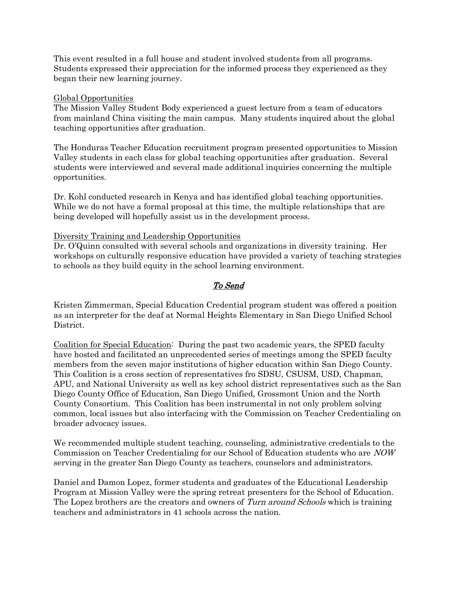This event resulted in a full house and student involved students from all programs. Students expressed their appreciation for the informed process they experienced as they began their new learning journey.

### Global Opportunities

The Mission Valley Student Body experienced a guest lecture from a team of educators from mainland China visiting the main campus. Many students inquired about the global teaching opportunities after graduation.

The Honduras Teacher Education recruitment program presented opportunities to Mission Valley students in each class for global teaching opportunities after graduation. Several students were interviewed and several made additional inquiries concerning the multiple opportunities.

Dr. Kohl conducted research in Kenya and has identified global teaching opportunities. While we do not have a formal proposal at this time, the multiple relationships that are being developed will hopefully assist us in the development process.

### Diversity Training and Leadership Opportunities

Dr. O'Quinn consulted with several schools and organizations in diversity training. Her workshops on culturally responsive education have provided a variety of teaching strategies to schools as they build equity in the school learning environment.

# To Send

Kristen Zimmerman, Special Education Credential program student was offered a position as an interpreter for the deaf at Normal Heights Elementary in San Diego Unified School District.

Coalition for Special Education: During the past two academic years, the SPED faculty have hosted and facilitated an unprecedented series of meetings among the SPED faculty members from the seven major institutions of higher education within San Diego County. This Coalition is a cross section of representatives fro SDSU, CSUSM, USD, Chapman, APU, and National University as well as key school district representatives such as the San Diego County Office of Education, San Diego Unified, Grossmont Union and the North County Consortium. This Coalition has been instrumental in not only problem solving common, local issues but also interfacing with the Commission on Teacher Credentialing on broader advocacy issues.

We recommended multiple student teaching, counseling, administrative credentials to the Commission on Teacher Credentialing for our School of Education students who are NOW serving in the greater San Diego County as teachers, counselors and administrators.

Daniel and Damon Lopez, former students and graduates of the Educational Leadership Program at Mission Valley were the spring retreat presenters for the School of Education. The Lopez brothers are the creators and owners of Turn around Schools which is training teachers and administrators in 41 schools across the nation.